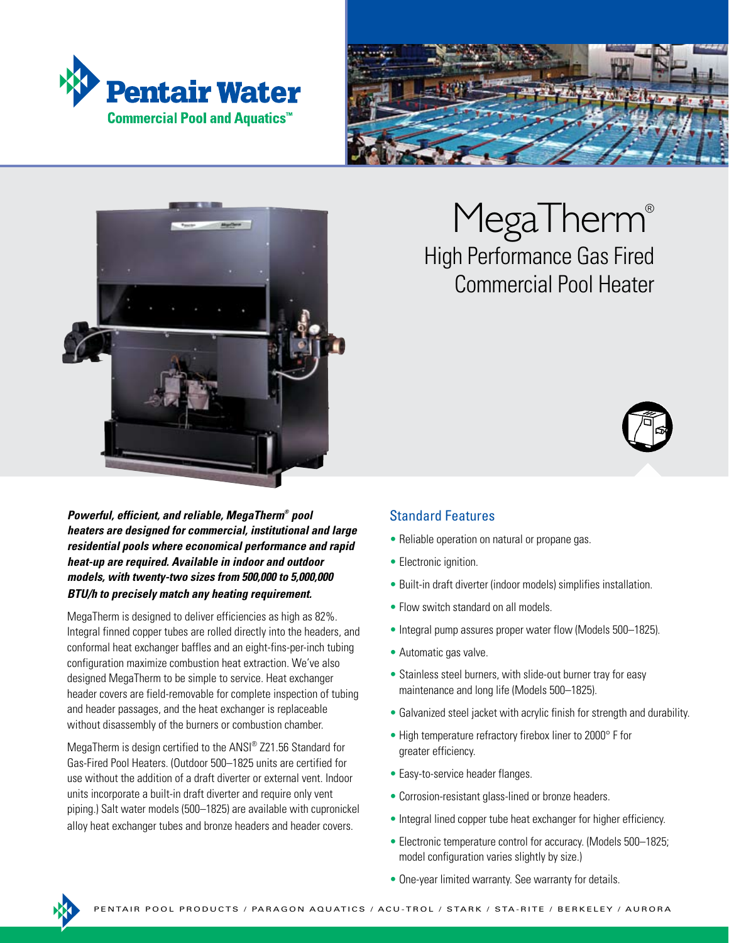





*Powerful, efficient, and reliable, MegaTherm® pool heaters are designed for commercial, institutional and large residential pools where economical performance and rapid heat-up are required. Available in indoor and outdoor models, with twenty-two sizes from 500,000 to 5,000,000 BTU/h to precisely match any heating requirement.*

MegaTherm is designed to deliver efficiencies as high as 82%. Integral finned copper tubes are rolled directly into the headers, and conformal heat exchanger baffles and an eight-fins-per-inch tubing configuration maximize combustion heat extraction. We've also designed MegaTherm to be simple to service. Heat exchanger header covers are field-removable for complete inspection of tubing and header passages, and the heat exchanger is replaceable without disassembly of the burners or combustion chamber.

MegaTherm is design certified to the ANSI® Z21.56 Standard for Gas-Fired Pool Heaters. (Outdoor 500–1825 units are certified for use without the addition of a draft diverter or external vent. Indoor units incorporate a built-in draft diverter and require only vent piping.) Salt water models (500–1825) are available with cupronickel alloy heat exchanger tubes and bronze headers and header covers.

## MegaTherm<sup>®</sup> High Performance Gas Fired Commercial Pool Heater



### Standard Features

- Reliable operation on natural or propane gas.
- Electronic ignition.
- Built-in draft diverter (indoor models) simplifies installation.
- Flow switch standard on all models.
- Integral pump assures proper water flow (Models 500–1825).
- Automatic gas valve.
- Stainless steel burners, with slide-out burner tray for easy maintenance and long life (Models 500–1825).
- Galvanized steel jacket with acrylic finish for strength and durability.
- High temperature refractory firebox liner to 2000° F for greater efficiency.
- Easy-to-service header flanges.
- Corrosion-resistant glass-lined or bronze headers.
- Integral lined copper tube heat exchanger for higher efficiency.
- Electronic temperature control for accuracy. (Models 500–1825; model configuration varies slightly by size.)
- One-year limited warranty. See warranty for details.

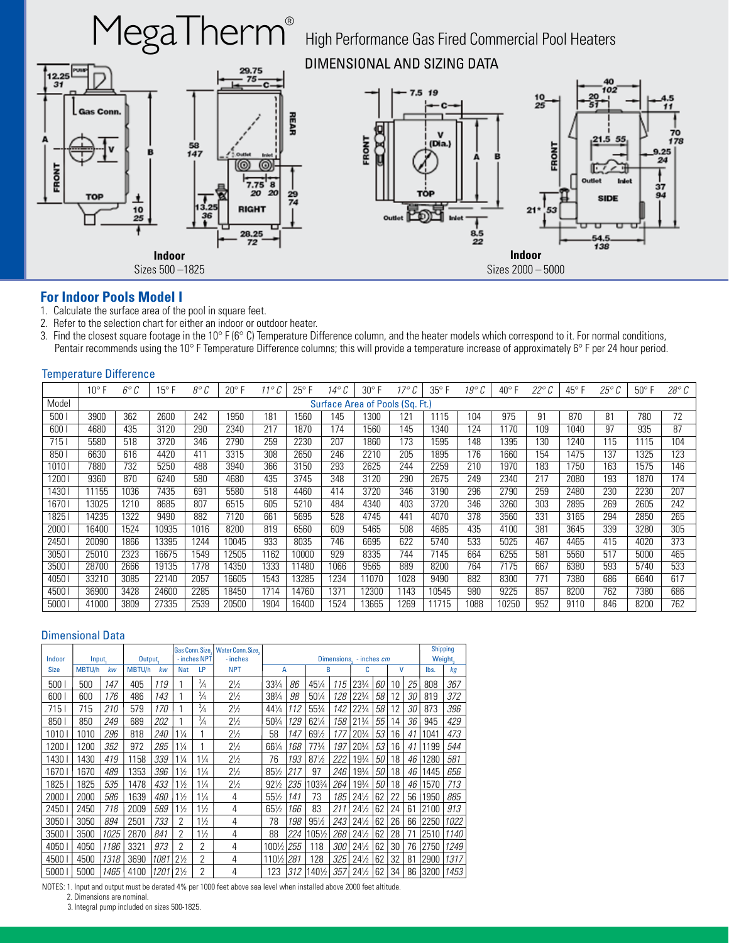

#### **For Indoor Pools Model I**

- 1. Calculate the surface area of the pool in square feet.
- 2. Refer to the selection chart for either an indoor or outdoor heater.
- 3. Find the closest square footage in the 10° F (6° C) Temperature Difference column, and the heater models which correspond to it. For normal conditions, Pentair recommends using the 10° F Temperature Difference columns; this will provide a temperature increase of approximately 6° F per 24 hour period.

#### Temperature Difference

|       | $10^{\circ}$ F                  | 6° C | $15^{\circ}$ F | 8° C | $20^{\circ}$ F | $11^{\circ}$ $C$ | $25^{\circ}$ F | 14° C | $30^{\circ}$ F | $17^\circ C$ | $35^{\circ}$ F | 19° C | $40^{\circ}$ F | $22^{\circ}$ $C$ | $45^{\circ}$ F | $25^{\circ}$ | $50^{\circ}$ F | $28^{\circ}$ $C$ |
|-------|---------------------------------|------|----------------|------|----------------|------------------|----------------|-------|----------------|--------------|----------------|-------|----------------|------------------|----------------|--------------|----------------|------------------|
| Model | Surface Area of Pools (Sq. Ft.) |      |                |      |                |                  |                |       |                |              |                |       |                |                  |                |              |                |                  |
| 500   | 3900                            | 362  | 2600           | 242  | 1950           | 18 <sup>1</sup>  | 1560           | 145   | 1300           | 121          | 1115           | 104   | 975            | 91               | 870            | 81           | 780            | 72               |
| 600   | 4680                            | 435  | 3120           | 290  | 2340           | 217              | 1870           | 174   | 1560           | 145          | 1340           | 124   | 1170           | 109              | 1040           | 97           | 935            | 87               |
| 715   | 5580                            | 518  | 3720           | 346  | 2790           | 259              | 2230           | 207   | 1860           | 173          | 1595           | 148   | 395            | 130              | 1240           | 115          | 1115           | 104              |
| 850   | 6630                            | 616  | 4420           | 411  | 3315           | 308              | 2650           | 246   | 2210           | 205          | 1895           | 176   | 1660           | 154              | 1475           | 137          | 1325           | 123              |
| 1010  | 7880                            | 732  | 5250           | 488  | 3940           | 366              | 3150           | 293   | 2625           | 244          | 2259           | 210   | 1970           | 183              | 1750           | 163          | 1575           | 146              |
| 1200  | 9360                            | 870  | 6240           | 580  | 4680           | 435              | 3745           | 348   | 3120           | 290          | 2675           | 249   | 2340           | 217              | 2080           | 193          | 1870           | 174              |
| 1430  | 11155                           | 1036 | 7435           | 691  | 5580           | 518              | 4460           | 414   | 3720           | 346          | 3190           | 296   | 2790           | 259              | 2480           | 230          | 2230           | 207              |
| 1670  | 13025                           | 1210 | 8685           | 807  | 6515           | 605              | 5210           | 484   | 4340           | 403          | 3720           | 346   | 3260           | 303              | 2895           | 269          | 2605           | 242              |
| 1825  | 14235                           | 1322 | 9490           | 882  | 7120           | 661              | 5695           | 528   | 4745           | 441          | 4070           | 378   | 3560           | 331              | 3165           | 294          | 2850           | 265              |
| 2000  | 16400                           | 1524 | 10935          | 1016 | 8200           | 819              | 6560           | 609   | 5465           | 508          | 4685           | 435   | 4100           | 381              | 3645           | 339          | 3280           | 305              |
| 2450  | 20090                           | 1866 | 13395          | 1244 | 10045          | 933              | 8035           | 746   | 6695           | 622          | 5740           | 533   | 5025           | 467              | 4465           | 415          | 4020           | 373              |
| 3050  | 25010                           | 2323 | 16675          | 1549 | 12505          | 1162             | 10000          | 929   | 8335           | 744          | 7145           | 664   | 6255           | 581              | 5560           | 517          | 5000           | 465              |
| 3500  | 28700                           | 2666 | 19135          | 1778 | 14350          | 1333             | 11480          | 1066  | 9565           | 889          | 8200           | 764   | 7175           | 667              | 6380           | 593          | 5740           | 533              |
| 4050  | 33210                           | 3085 | 22140          | 2057 | 16605          | 1543             | 13285          | 1234  | 11070          | 1028         | 9490           | 882   | 8300           | 771              | 7380           | 686          | 6640           | 617              |
| 4500  | 36900                           | 3428 | 24600          | 2285 | 18450          | 1714             | 14760          | 1371  | 12300          | 1143         | 10545          | 980   | 9225           | 857              | 8200           | 762          | 7380           | 686              |
| 5000  | 41000                           | 3809 | 27335          | 2539 | 20500          | 1904             | 16400          | 1524  | 13665          | 1269         | 11715          | 1088  | 10250          | 952              | 9110           | 846          | 8200           | 762              |

#### Dimensional Data

|             |               |      |               |      | Gas Conn. Size, | Water Conn. Size, |                |                 | <b>Shipping</b>         |                 |            |                 |    |    |         |      |      |
|-------------|---------------|------|---------------|------|-----------------|-------------------|----------------|-----------------|-------------------------|-----------------|------------|-----------------|----|----|---------|------|------|
| Indoor      | Input,        |      | Output,       |      | - inches NPT    |                   | - inches       |                 | Dimensions. - inches cm |                 |            |                 |    |    | Weight, |      |      |
| <b>Size</b> | <b>MBTU/h</b> | kw   | <b>MBTU/h</b> | kw   | Nat             | LP                | <b>NPT</b>     | A               |                         | B               |            | C               |    | V  |         | lbs. | kq   |
| 500 l       | 500           | 147  | 405           | 119  |                 | $\frac{3}{4}$     | $2\frac{1}{2}$ | 331/4           | 86                      | 451/4           | 115        | 233/4           | 60 | 10 | 25      | 808  | 367  |
| 600         | 600           | 176  | 486           | 143  |                 | $\frac{3}{4}$     | $2\frac{1}{2}$ | 383/4           | 98                      | 501/4           | 128        | $22^{3}/4$      | 58 | 12 | 30      | 819  | 372  |
| 715         | 715           | 210  | 579           | 170  |                 | $\frac{3}{4}$     | $2\frac{1}{2}$ | 441/4           | 112                     | 553/4           | 142        | $22^{3}/4$      | 58 | 12 | 30      | 873  | 396  |
| 850         | 850           | 249  | 689           | 202  |                 | $\frac{3}{4}$     | $2\frac{1}{2}$ | 503/4           | 129                     | 621/4           | 158        | $21\frac{3}{4}$ | 55 | 14 | 36      | 945  | 429  |
| 1010        | 1010          | 296  | 818           | 240  | $1\frac{1}{4}$  |                   | $2\frac{1}{2}$ | 58              | 147                     | 691/2           | 177        | $20^{3}/4$      | 53 | 16 | 41      | 1041 | 473  |
| 1200        | 1200          | 352  | 972           | 285  | $1\frac{1}{4}$  |                   | $2\frac{1}{2}$ | 661/4           | 168                     | $77\frac{3}{4}$ | 197        | $20^{3}/4$      | 53 | 16 | 41      | 1199 | 544  |
| 1430        | 1430          | 419  | 1158          | 339  | $1\frac{1}{4}$  | $1\frac{1}{4}$    | $2\frac{1}{2}$ | 76              | 193                     | 87%             | 222        | 193/4           | 50 | 18 | 46      | 1280 | 581  |
| 1670        | 1670          | 489  | 1353          | 396  | $1\frac{1}{2}$  | $1\frac{1}{4}$    | $2\frac{1}{2}$ | 851/2           | 217                     | 97              | 246        | 193/4           | 50 | 18 | 46      | 1445 | 656  |
| 1825        | 1825          | 535  | 1478          | 433  | $1\frac{1}{2}$  | $1\frac{1}{4}$    | $2\frac{1}{2}$ | 921/2           | 235                     | 103¾            | 264        | 193/4           | 50 | 18 | 46      | 1570 | 713  |
| 2000        | 2000          | 586  | 1639          | 480  | $1\frac{1}{2}$  | $1\frac{1}{4}$    | 4              | $55\frac{1}{2}$ | 141                     | 73              | 185        | $24\frac{1}{2}$ | 62 | 22 | 56      | 1950 | 885  |
| 2450        | 2450          | 718  | 2009          | 589  | $1\frac{1}{2}$  | $1\frac{1}{2}$    | 4              | $65\frac{1}{2}$ | 166                     | 83              | 211        | $24\frac{1}{2}$ | 62 | 24 | 61      | 2100 | 913  |
| 3050        | 3050          | 894  | 2501          | 733  | 2               | $1\frac{1}{2}$    | 4              | 78              | 198                     | $95\frac{1}{2}$ | 243        | $24\frac{1}{2}$ | 62 | 26 | 66      | 2250 | 1022 |
| 3500        | 3500          | 1025 | 2870          | 841  | 2               | $1\frac{1}{2}$    | 4              | 88              | 224                     | 105½            | 268        | $24\frac{1}{2}$ | 62 | 28 | 71      | 2510 | 1140 |
| 4050        | 4050          | 1186 | 3321          | 973  | 2               | $\overline{2}$    | 4              | 1001/2          | 255                     | 118             | <i>300</i> | $24\frac{1}{2}$ | 62 | 30 | 76      | 2750 | 1249 |
| 4500        | 4500          | 1318 | 3690          | 1081 | $2\frac{1}{2}$  | $\overline{2}$    | 4              | 1101/2          | 281                     | 128             | 325        | $24\frac{1}{2}$ | 62 | 32 | 81      | 2900 | 1317 |
| 5000        | 5000          | 1465 | 4100          | 1201 | $2\frac{1}{2}$  | 2                 | 4              | 123             | 312                     | 140½            | 357        | $24\frac{1}{2}$ | 62 | 34 | 86      | 3200 | 1453 |

NOTES: 1. Input and output must be derated 4% per 1000 feet above sea level when installed above 2000 feet altitude.

2. Dimensions are nominal.

3. Integral pump included on sizes 500-1825.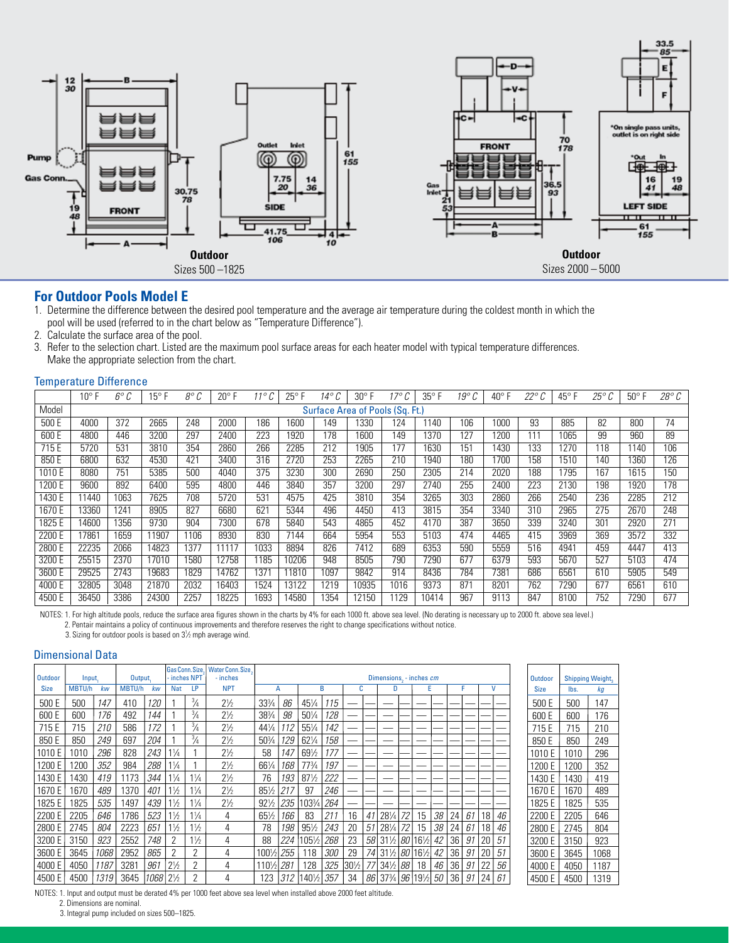

#### **For Outdoor Pools Model E**

- 1. Determine the difference between the desired pool temperature and the average air temperature during the coldest month in which the pool will be used (referred to in the chart below as "Temperature Difference").<br>2. Calculate the surface area of the pool.
- Calculate the surface area of the pool.
- 3. Refer to the selection chart. Listed are the maximum pool surface areas for each heater model with typical temperature differences. Make the appropriate selection from the chart.

#### Temperature Difference

|        | $10^{\circ}$ F                  | 6° C | 15° F | $8^\circ$ C | $20^{\circ}$ F | $\sqrt{2}$ | $25^{\circ}$ F | 14° C | $30^{\circ}$ F | 17° C | $35^{\circ}$ F | $19^\circ$ | 40° F |     | $45^{\circ}$ F | 25° | $50^{\circ}$ F | $28^\circ C$ |
|--------|---------------------------------|------|-------|-------------|----------------|------------|----------------|-------|----------------|-------|----------------|------------|-------|-----|----------------|-----|----------------|--------------|
| Model  | Surface Area of Pools (Sq. Ft.) |      |       |             |                |            |                |       |                |       |                |            |       |     |                |     |                |              |
| 500 E  | 4000                            | 372  | 2665  | 248         | 2000           | 186        | 1600           | 149   | 1330           | 124   | 140            | 106        | 1000  | 93  | 885            | 82  | 800            | 74           |
| 600 E  | 4800                            | 446  | 3200  | 297         | 2400           | 223        | 1920           | 178   | 1600           | 149   | 1370           | 127        | 1200  | 111 | 1065           | 99  | 960            | 89           |
| 715 E  | 5720                            | 531  | 3810  | 354         | 2860           | 266        | 2285           | 212   | 1905           | 177   | 1630           | 151        | 1430  | 133 | 1270           | 118 | 1140           | 106          |
| 850 E  | 6800                            | 632  | 4530  | 421         | 3400           | 316        | 2720           | 253   | 2265           | 210   | 1940           | 180        | 700   | 158 | 1510           | 140 | 1360           | 126          |
| 1010 E | 8080                            | 751  | 5385  | 500         | 4040           | 375        | 3230           | 300   | 2690           | 250   | 2305           | 214        | 2020  | 188 | 1795           | 167 | 1615           | 150          |
| 1200 E | 9600                            | 892  | 6400  | 595         | 4800           | 446        | 3840           | 357   | 3200           | 297   | 2740           | 255        | 2400  | 223 | 2130           | 198 | 1920           | 178          |
| 1430 E | 11440                           | 1063 | 7625  | 708         | 5720           | 531        | 4575           | 425   | 3810           | 354   | 3265           | 303        | 2860  | 266 | 2540           | 236 | 2285           | 212          |
| 1670 E | 3360                            | 1241 | 8905  | 827         | 6680           | 621        | 5344           | 496   | 4450           | 413   | 3815           | 354        | 3340  | 310 | 2965           | 275 | 2670           | 248          |
| 1825 E | 14600                           | 1356 | 9730  | 904         | 7300           | 678        | 5840           | 543   | 4865           | 452   | 4170           | 387        | 3650  | 339 | 3240           | 301 | 2920           | 271          |
| 2200 E | 7861                            | 1659 | 11907 | 1106        | 8930           | 830        | 7144           | 664   | 5954           | 553   | 5103           | 474        | 4465  | 415 | 3969           | 369 | 3572           | 332          |
| 2800 E | 22235                           | 2066 | 14823 | 1377        | 11117          | 1033       | 8894           | 826   | 7412           | 689   | 6353           | 590        | 5559  | 516 | 4941           | 459 | 4447           | 413          |
| 3200 E | 25515                           | 2370 | 17010 | 1580        | 12758          | 1185       | 10206          | 948   | 8505           | 790   | 7290           | 677        | 6379  | 593 | 5670           | 527 | 5103           | 474          |
| 3600 E | 29525                           | 2743 | 19683 | 1829        | 14762          | 1371       | 11810          | 1097  | 9842           | 914   | 8436           | 784        | 7381  | 686 | 6561           | 610 | 5905           | 549          |
| 4000 E | 32805                           | 3048 | 21870 | 2032        | 16403          | 1524       | 13122          | 1219  | 10935          | 1016  | 9373           | 871        | 8201  | 762 | 7290           | 677 | 6561           | 610          |
| 4500 E | 36450                           | 3386 | 24300 | 2257        | 18225          | 1693       | 14580          | 1354  | 12150          | 1129  | 10414          | 967        | 9113  | 847 | 8100           | 752 | 7290           | 677          |

NOTES: 1. For high altitude pools, reduce the surface area figures shown in the charts by 4% for each 1000 ft. above sea level. (No derating is necessary up to 2000 ft. above sea level.) 2. Pentair maintains a policy of continuous improvements and therefore reserves the right to change specifications without notice.

3. Sizing for outdoor pools is based on  $3\frac{1}{2}$  mph average wind.

#### Dimensional Data

| <b>Outdoor</b> | Input,        |      | Output, |      |                | Gas Conn. Size<br>· inches NPT | <b>Water Conn. Size.</b><br>- inches | Dimensions, - inches cm |     |                 |            |                 |    |                                                                  |    |    |    |    |    |    |    | <b>Outdoor</b> |      | <b>Shipping Weight</b> |
|----------------|---------------|------|---------|------|----------------|--------------------------------|--------------------------------------|-------------------------|-----|-----------------|------------|-----------------|----|------------------------------------------------------------------|----|----|----|----|----|----|----|----------------|------|------------------------|
| <b>Size</b>    | <b>MBTU/h</b> | kw   | MBTU/h  | kw   | <b>Nat</b>     | LP                             | <b>NPT</b>                           |                         | A   |                 | B          |                 | c  | D                                                                |    | E  |    |    |    | v  |    | <b>Size</b>    | lbs. | kg                     |
| 500 E          | 500           | 147  | 410     | 120  |                | $\frac{3}{4}$                  | $2\frac{1}{2}$                       | 33%                     | 86  | 451/4           | 115        |                 |    |                                                                  |    |    |    |    |    |    |    | 500 E          | 500  | 147                    |
| 600 E          | 600           | 176  | 492     | 144  |                | $\frac{3}{4}$                  | $2\frac{1}{2}$                       | 38%                     | 98  | $50\%$          | 128        |                 |    |                                                                  |    |    |    |    |    |    |    | 600 E          | 600  | 176                    |
| 715 E          | 715           | 210  | 586     | 172  |                | $\frac{3}{4}$                  | $2\frac{1}{2}$                       | $44\frac{1}{4}$         | 12  | 551/4           | 142        |                 |    |                                                                  |    |    |    |    |    |    |    | 715 E          | 715  | 210                    |
| 850 E          | 850           | 249  | 697     | 204  |                | $\frac{3}{4}$                  | $2\frac{1}{2}$                       | 50%                     | 129 | $62\frac{1}{4}$ | 158        |                 |    |                                                                  |    |    |    |    |    |    |    | 850 E          | 850  | 249                    |
| 1010 E         | 1010          | 296  | 828     | 243  | $1\frac{1}{4}$ |                                | $2\frac{1}{2}$                       | 58                      | 147 | 691/2           | 177        |                 |    |                                                                  |    |    |    |    |    |    |    | 1010 E         | 1010 | 296                    |
| 1200 E         | 200           | 352  | 984     | 288  | $1\frac{1}{4}$ |                                | $2\frac{1}{2}$                       | 661/4                   | 168 | 77¾             | 197        |                 |    |                                                                  |    |    |    |    |    |    |    | 1200 E         | 1200 | 352                    |
| 1430 E         | 1430          | 419  | 1173    | 344  | 1¼             | $1\frac{1}{4}$                 | $2\frac{1}{2}$                       | 76                      | 193 | $87\frac{1}{2}$ | 222        |                 |    |                                                                  |    |    |    |    |    |    |    | 1430 E         | 1430 | 419                    |
| 1670 E         | 1670          | 489  | 1370    | 401  | 1½             | 1/4                            | $2\frac{1}{2}$                       | 851/2                   |     | 97              | 246        |                 |    |                                                                  |    |    |    |    |    |    |    | 1670 E         | 1670 | 489                    |
| 1825 E         | 1825          | 535  | 1497    | 439  | 1½             | $1\frac{1}{4}$                 | $2\frac{1}{2}$                       | $92\%$                  | 235 | 1031/4          | 264        |                 |    |                                                                  |    |    |    |    |    |    |    | 1825 E         | 1825 | 535                    |
| 2200 E         | 2205          | 646  | 1786    | 523  | 1½             | $1\frac{1}{4}$                 | 4                                    | $65\frac{1}{2}$         | 166 | 83              | 211        | 16              | 41 | 281/4                                                            | 72 | 15 | 38 | 24 | 61 | 18 | 46 | 2200 E         | 2205 | 646                    |
| 2800 E         | 2745          | 804  | 2223    | 651  | 1½             | 1½                             | 4                                    | 78                      | 198 | $95\frac{1}{2}$ | 243        | 20              | 51 | $28\frac{1}{4}$                                                  | 72 | 15 | 38 | 24 | 61 | 18 | 46 | 2800 E         | 2745 | 804                    |
| 3200 E         | 3150          | 923  | 2552    | 748  |                | $1\frac{1}{2}$                 | 4                                    | 88                      | 224 | 1051/2          | 268        | 23              | 58 | 31½ 80 16½                                                       |    |    | 42 | 36 | 91 | 20 | 51 | 3200 E         | 3150 | 923                    |
| 3600 E         | 3645          | 1068 | 2952    | 865  | 2              | 2                              | 4                                    | 1001/2                  | 255 | 118             | <i>300</i> | 29              | 74 | 311/2 80 161/2 42                                                |    |    |    | 36 | 91 | 20 | 51 | 3600 E         | 3645 | 1068                   |
| 4000 E         | 4050          | 1187 | 3281    | 961  | $2\frac{1}{2}$ | 2                              | 4                                    | 1101/2                  | 281 | 128             | 325        | $30\frac{1}{2}$ | 77 | $34\frac{1}{2}$ 88                                               |    | 18 | 46 | 36 | 91 | 22 | 56 | 4000 E         | 4050 | 1187                   |
| 4500 E         | 4500          | 1319 | 3645    | 1068 | $2\frac{1}{2}$ |                                | 4                                    | 123                     | 312 | 140½            | 357        | 34              | 86 | 37 <sup>3</sup> / <sub>4</sub> 96 19 <sup>1</sup> / <sub>2</sub> |    |    | 50 | 36 | 91 | 24 | 61 | 4500 E         | 4500 | 1319                   |

NOTES: 1. Input and output must be derated 4% per 1000 feet above sea level when installed above 2000 feet altitude.

2. Dimensions are nominal.

3. Integral pump included on sizes 500–1825.